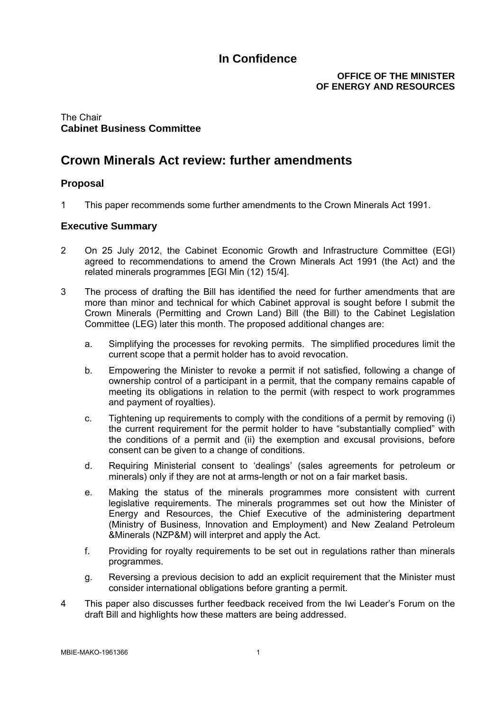### **OFFICE OF THE MINISTER OF ENERGY AND RESOURCES**

### The Chair **Cabinet Business Committee**

# **Crown Minerals Act review: further amendments**

## **Proposal**

1 This paper recommends some further amendments to the Crown Minerals Act 1991.

### **Executive Summary**

- 2 On 25 July 2012, the Cabinet Economic Growth and Infrastructure Committee (EGI) agreed to recommendations to amend the Crown Minerals Act 1991 (the Act) and the related minerals programmes [EGI Min (12) 15/4].
- 3 The process of drafting the Bill has identified the need for further amendments that are more than minor and technical for which Cabinet approval is sought before I submit the Crown Minerals (Permitting and Crown Land) Bill (the Bill) to the Cabinet Legislation Committee (LEG) later this month. The proposed additional changes are:
	- a. Simplifying the processes for revoking permits. The simplified procedures limit the current scope that a permit holder has to avoid revocation.
	- b. Empowering the Minister to revoke a permit if not satisfied, following a change of ownership control of a participant in a permit, that the company remains capable of meeting its obligations in relation to the permit (with respect to work programmes and payment of royalties).
	- c. Tightening up requirements to comply with the conditions of a permit by removing (i) the current requirement for the permit holder to have "substantially complied" with the conditions of a permit and (ii) the exemption and excusal provisions, before consent can be given to a change of conditions.
	- d. Requiring Ministerial consent to 'dealings' (sales agreements for petroleum or minerals) only if they are not at arms-length or not on a fair market basis.
	- e. Making the status of the minerals programmes more consistent with current legislative requirements. The minerals programmes set out how the Minister of Energy and Resources, the Chief Executive of the administering department (Ministry of Business, Innovation and Employment) and New Zealand Petroleum &Minerals (NZP&M) will interpret and apply the Act.
	- f. Providing for royalty requirements to be set out in regulations rather than minerals programmes.
	- g. Reversing a previous decision to add an explicit requirement that the Minister must consider international obligations before granting a permit.
- 4 This paper also discusses further feedback received from the Iwi Leader's Forum on the draft Bill and highlights how these matters are being addressed.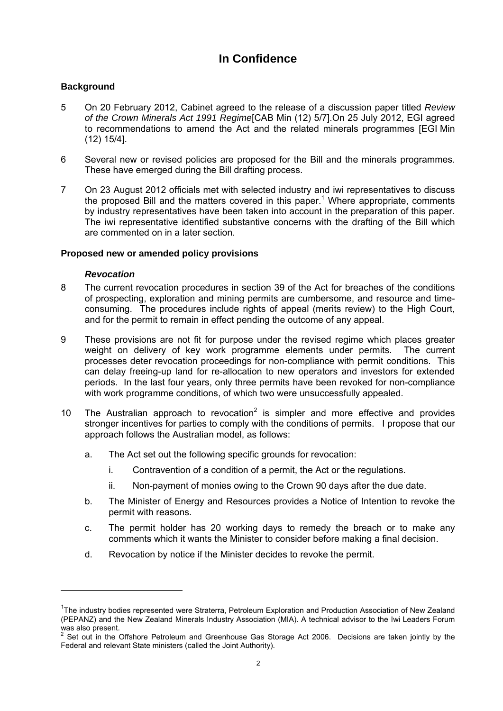### **Background**

- 5 On 20 February 2012, Cabinet agreed to the release of a discussion paper titled *Review of the Crown Minerals Act 1991 Regime*[CAB Min (12) 5/7].On 25 July 2012, EGI agreed to recommendations to amend the Act and the related minerals programmes [EGI Min (12) 15/4].
- 6 Several new or revised policies are proposed for the Bill and the minerals programmes. These have emerged during the Bill drafting process.
- 7 On 23 August 2012 officials met with selected industry and iwi representatives to discuss the proposed Bill and the matters covered in this paper.<sup>1</sup> Where appropriate, comments by industry representatives have been taken into account in the preparation of this paper. The iwi representative identified substantive concerns with the drafting of the Bill which are commented on in a later section.

### **Proposed new or amended policy provisions**

#### *Revocation*

1

- 8 The current revocation procedures in section 39 of the Act for breaches of the conditions of prospecting, exploration and mining permits are cumbersome, and resource and timeconsuming. The procedures include rights of appeal (merits review) to the High Court, and for the permit to remain in effect pending the outcome of any appeal.
- 9 These provisions are not fit for purpose under the revised regime which places greater weight on delivery of key work programme elements under permits. The current processes deter revocation proceedings for non-compliance with permit conditions. This can delay freeing-up land for re-allocation to new operators and investors for extended periods. In the last four years, only three permits have been revoked for non-compliance with work programme conditions, of which two were unsuccessfully appealed.
- 10 The Australian approach to revocation<sup>2</sup> is simpler and more effective and provides stronger incentives for parties to comply with the conditions of permits. I propose that our approach follows the Australian model, as follows:
	- a. The Act set out the following specific grounds for revocation:
		- i. Contravention of a condition of a permit, the Act or the regulations.
		- ii. Non-payment of monies owing to the Crown 90 days after the due date.
	- b. The Minister of Energy and Resources provides a Notice of Intention to revoke the permit with reasons.
	- c. The permit holder has 20 working days to remedy the breach or to make any comments which it wants the Minister to consider before making a final decision.
	- d. Revocation by notice if the Minister decides to revoke the permit.

<sup>&</sup>lt;sup>1</sup>The industry bodies represented were Straterra, Petroleum Exploration and Production Association of New Zealand (PEPANZ) and the New Zealand Minerals Industry Association (MIA). A technical advisor to the Iwi Leaders Forum

was also present.<br><sup>2</sup> Set out in the Offshore Petroleum and Greenhouse Gas Storage Act 2006. Decisions are taken jointly by the Federal and relevant State ministers (called the Joint Authority).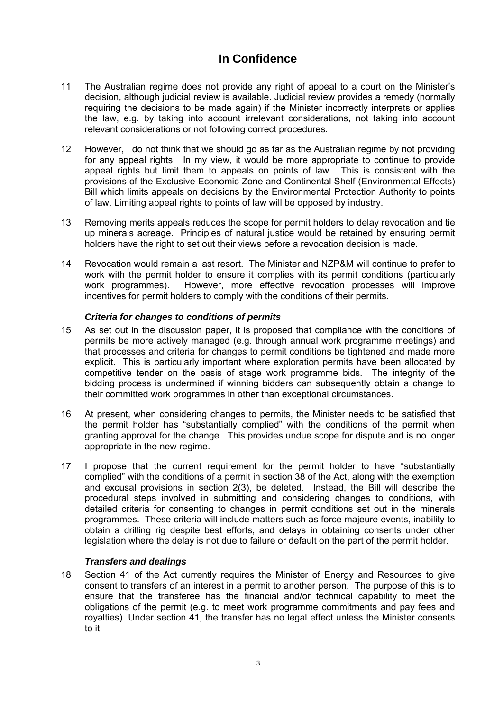- 11 The Australian regime does not provide any right of appeal to a court on the Minister's decision, although judicial review is available. Judicial review provides a remedy (normally requiring the decisions to be made again) if the Minister incorrectly interprets or applies the law, e.g. by taking into account irrelevant considerations, not taking into account relevant considerations or not following correct procedures.
- 12 However, I do not think that we should go as far as the Australian regime by not providing for any appeal rights. In my view, it would be more appropriate to continue to provide appeal rights but limit them to appeals on points of law. This is consistent with the provisions of the Exclusive Economic Zone and Continental Shelf (Environmental Effects) Bill which limits appeals on decisions by the Environmental Protection Authority to points of law. Limiting appeal rights to points of law will be opposed by industry.
- 13 Removing merits appeals reduces the scope for permit holders to delay revocation and tie up minerals acreage. Principles of natural justice would be retained by ensuring permit holders have the right to set out their views before a revocation decision is made.
- 14 Revocation would remain a last resort. The Minister and NZP&M will continue to prefer to work with the permit holder to ensure it complies with its permit conditions (particularly work programmes). However, more effective revocation processes will improve incentives for permit holders to comply with the conditions of their permits.

### *Criteria for changes to conditions of permits*

- 15 As set out in the discussion paper, it is proposed that compliance with the conditions of permits be more actively managed (e.g. through annual work programme meetings) and that processes and criteria for changes to permit conditions be tightened and made more explicit. This is particularly important where exploration permits have been allocated by competitive tender on the basis of stage work programme bids. The integrity of the bidding process is undermined if winning bidders can subsequently obtain a change to their committed work programmes in other than exceptional circumstances.
- 16 At present, when considering changes to permits, the Minister needs to be satisfied that the permit holder has "substantially complied" with the conditions of the permit when granting approval for the change. This provides undue scope for dispute and is no longer appropriate in the new regime.
- 17 I propose that the current requirement for the permit holder to have "substantially complied" with the conditions of a permit in section 38 of the Act, along with the exemption and excusal provisions in section 2(3), be deleted. Instead, the Bill will describe the procedural steps involved in submitting and considering changes to conditions, with detailed criteria for consenting to changes in permit conditions set out in the minerals programmes. These criteria will include matters such as force majeure events, inability to obtain a drilling rig despite best efforts, and delays in obtaining consents under other legislation where the delay is not due to failure or default on the part of the permit holder.

### *Transfers and dealings*

18 Section 41 of the Act currently requires the Minister of Energy and Resources to give consent to transfers of an interest in a permit to another person. The purpose of this is to ensure that the transferee has the financial and/or technical capability to meet the obligations of the permit (e.g. to meet work programme commitments and pay fees and royalties). Under section 41, the transfer has no legal effect unless the Minister consents to it.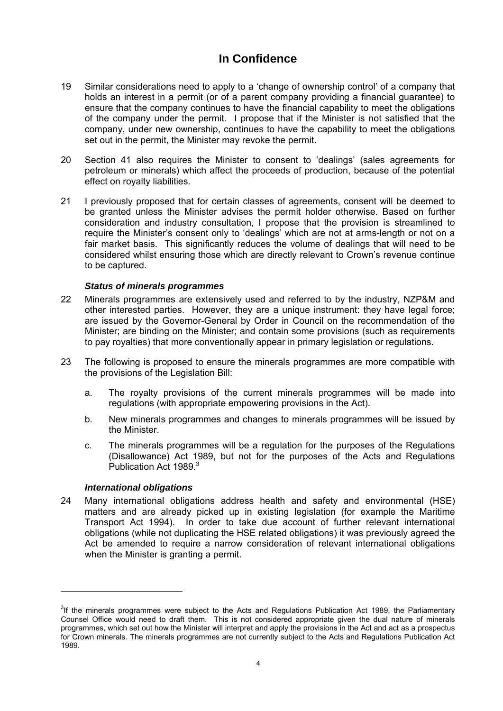- 19 Similar considerations need to apply to a 'change of ownership control' of a company that holds an interest in a permit (or of a parent company providing a financial guarantee) to ensure that the company continues to have the financial capability to meet the obligations of the company under the permit. I propose that if the Minister is not satisfied that the company, under new ownership, continues to have the capability to meet the obligations set out in the permit, the Minister may revoke the permit.
- 20 Section 41 also requires the Minister to consent to 'dealings' (sales agreements for petroleum or minerals) which affect the proceeds of production, because of the potential effect on royalty liabilities.
- 21 I previously proposed that for certain classes of agreements, consent will be deemed to be granted unless the Minister advises the permit holder otherwise. Based on further consideration and industry consultation, I propose that the provision is streamlined to require the Minister's consent only to 'dealings' which are not at arms-length or not on a fair market basis. This significantly reduces the volume of dealings that will need to be considered whilst ensuring those which are directly relevant to Crown's revenue continue to be captured.

### *Status of minerals programmes*

- 22 Minerals programmes are extensively used and referred to by the industry, NZP&M and other interested parties. However, they are a unique instrument: they have legal force; are issued by the Governor-General by Order in Council on the recommendation of the Minister; are binding on the Minister; and contain some provisions (such as requirements to pay royalties) that more conventionally appear in primary legislation or regulations.
- 23 The following is proposed to ensure the minerals programmes are more compatible with the provisions of the Legislation Bill:
	- a. The royalty provisions of the current minerals programmes will be made into regulations (with appropriate empowering provisions in the Act).
	- b. New minerals programmes and changes to minerals programmes will be issued by the Minister.
	- c. The minerals programmes will be a regulation for the purposes of the Regulations (Disallowance) Act 1989, but not for the purposes of the Acts and Regulations Publication Act 1989.<sup>3</sup>

#### *International obligations*

1

24 Many international obligations address health and safety and environmental (HSE) matters and are already picked up in existing legislation (for example the Maritime Transport Act 1994). In order to take due account of further relevant international obligations (while not duplicating the HSE related obligations) it was previously agreed the Act be amended to require a narrow consideration of relevant international obligations when the Minister is granting a permit.

 $3$ If the minerals programmes were subject to the Acts and Regulations Publication Act 1989, the Parliamentary Counsel Office would need to draft them. This is not considered appropriate given the dual nature of minerals programmes, which set out how the Minister will interpret and apply the provisions in the Act and act as a prospectus for Crown minerals. The minerals programmes are not currently subject to the Acts and Regulations Publication Act 1989.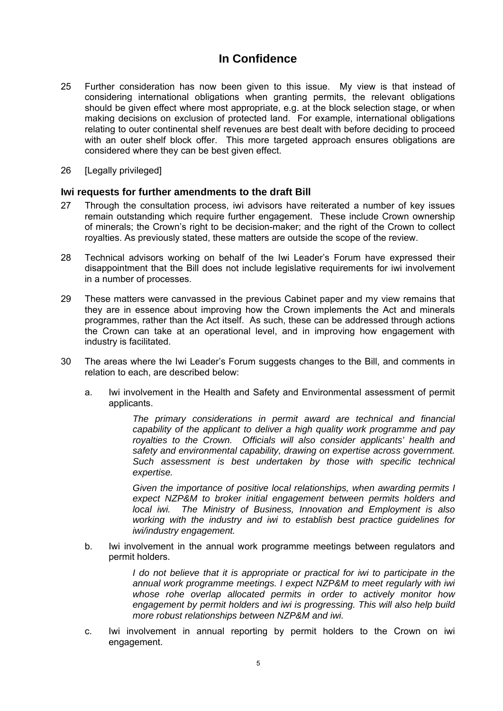- 25 Further consideration has now been given to this issue. My view is that instead of considering international obligations when granting permits, the relevant obligations should be given effect where most appropriate, e.g. at the block selection stage, or when making decisions on exclusion of protected land. For example, international obligations relating to outer continental shelf revenues are best dealt with before deciding to proceed with an outer shelf block offer. This more targeted approach ensures obligations are considered where they can be best given effect.
- 26 [Legally privileged]

#### **Iwi requests for further amendments to the draft Bill**

- 27 Through the consultation process, iwi advisors have reiterated a number of key issues remain outstanding which require further engagement. These include Crown ownership of minerals; the Crown's right to be decision-maker; and the right of the Crown to collect royalties. As previously stated, these matters are outside the scope of the review.
- 28 Technical advisors working on behalf of the Iwi Leader's Forum have expressed their disappointment that the Bill does not include legislative requirements for iwi involvement in a number of processes.
- 29 These matters were canvassed in the previous Cabinet paper and my view remains that they are in essence about improving how the Crown implements the Act and minerals programmes, rather than the Act itself. As such, these can be addressed through actions the Crown can take at an operational level, and in improving how engagement with industry is facilitated.
- 30 The areas where the Iwi Leader's Forum suggests changes to the Bill, and comments in relation to each, are described below:
	- a. Iwi involvement in the Health and Safety and Environmental assessment of permit applicants.

*The primary considerations in permit award are technical and financial capability of the applicant to deliver a high quality work programme and pay royalties to the Crown. Officials will also consider applicants' health and safety and environmental capability, drawing on expertise across government. Such assessment is best undertaken by those with specific technical expertise.* 

*Given the importance of positive local relationships, when awarding permits I expect NZP&M to broker initial engagement between permits holders and local iwi. The Ministry of Business, Innovation and Employment is also working with the industry and iwi to establish best practice guidelines for iwi/industry engagement.* 

b. Iwi involvement in the annual work programme meetings between regulators and permit holders.

> *I* do not believe that it is appropriate or practical for iwi to participate in the *annual work programme meetings. I expect NZP&M to meet regularly with iwi whose rohe overlap allocated permits in order to actively monitor how engagement by permit holders and iwi is progressing. This will also help build more robust relationships between NZP&M and iwi.*

c. Iwi involvement in annual reporting by permit holders to the Crown on iwi engagement.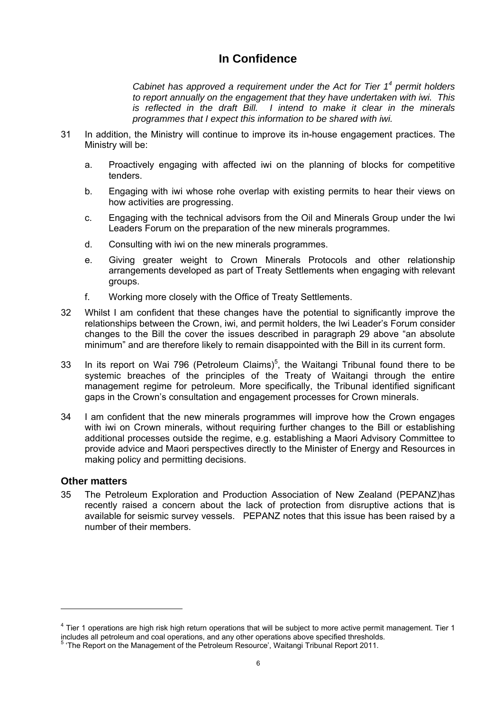*Cabinet has approved a requirement under the Act for Tier 1<sup>4</sup> permit holders to report annually on the engagement that they have undertaken with iwi. This is reflected in the draft Bill. I intend to make it clear in the minerals programmes that I expect this information to be shared with iwi.* 

- 31 In addition, the Ministry will continue to improve its in-house engagement practices. The Ministry will be:
	- a. Proactively engaging with affected iwi on the planning of blocks for competitive tenders.
	- b. Engaging with iwi whose rohe overlap with existing permits to hear their views on how activities are progressing.
	- c. Engaging with the technical advisors from the Oil and Minerals Group under the Iwi Leaders Forum on the preparation of the new minerals programmes.
	- d. Consulting with iwi on the new minerals programmes.
	- e. Giving greater weight to Crown Minerals Protocols and other relationship arrangements developed as part of Treaty Settlements when engaging with relevant groups.
	- f. Working more closely with the Office of Treaty Settlements.
- 32 Whilst I am confident that these changes have the potential to significantly improve the relationships between the Crown, iwi, and permit holders, the Iwi Leader's Forum consider changes to the Bill the cover the issues described in paragraph 29 above "an absolute minimum" and are therefore likely to remain disappointed with the Bill in its current form.
- 33 In its report on Wai 796 (Petroleum Claims)<sup>5</sup>, the Waitangi Tribunal found there to be systemic breaches of the principles of the Treaty of Waitangi through the entire management regime for petroleum. More specifically, the Tribunal identified significant gaps in the Crown's consultation and engagement processes for Crown minerals.
- 34 I am confident that the new minerals programmes will improve how the Crown engages with iwi on Crown minerals, without requiring further changes to the Bill or establishing additional processes outside the regime, e.g. establishing a Maori Advisory Committee to provide advice and Maori perspectives directly to the Minister of Energy and Resources in making policy and permitting decisions.

### **Other matters**

1

35 The Petroleum Exploration and Production Association of New Zealand (PEPANZ)has recently raised a concern about the lack of protection from disruptive actions that is available for seismic survey vessels. PEPANZ notes that this issue has been raised by a number of their members.

 $<sup>4</sup>$  Tier 1 operations are high risk high return operations that will be subject to more active permit management. Tier 1</sup> includes all petroleum and coal operations, and any other operations above specified thresholds. <sup>5</sup>

<sup>&</sup>lt;sup>5</sup> 'The Report on the Management of the Petroleum Resource', Waitangi Tribunal Report 2011.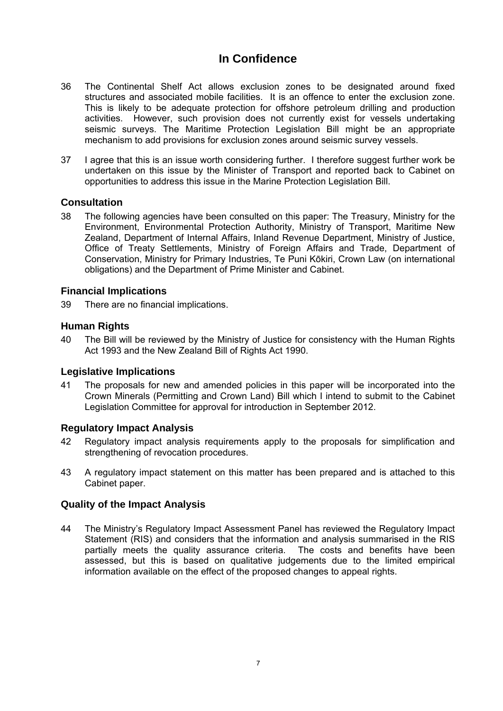- 36 The Continental Shelf Act allows exclusion zones to be designated around fixed structures and associated mobile facilities. It is an offence to enter the exclusion zone. This is likely to be adequate protection for offshore petroleum drilling and production activities. However, such provision does not currently exist for vessels undertaking seismic surveys. The Maritime Protection Legislation Bill might be an appropriate mechanism to add provisions for exclusion zones around seismic survey vessels.
- 37 I agree that this is an issue worth considering further. I therefore suggest further work be undertaken on this issue by the Minister of Transport and reported back to Cabinet on opportunities to address this issue in the Marine Protection Legislation Bill.

## **Consultation**

38 The following agencies have been consulted on this paper: The Treasury, Ministry for the Environment, Environmental Protection Authority, Ministry of Transport, Maritime New Zealand, Department of Internal Affairs, Inland Revenue Department, Ministry of Justice, Office of Treaty Settlements, Ministry of Foreign Affairs and Trade, Department of Conservation, Ministry for Primary Industries, Te Puni Kōkiri, Crown Law (on international obligations) and the Department of Prime Minister and Cabinet.

### **Financial Implications**

39 There are no financial implications.

### **Human Rights**

40 The Bill will be reviewed by the Ministry of Justice for consistency with the Human Rights Act 1993 and the New Zealand Bill of Rights Act 1990.

### **Legislative Implications**

41 The proposals for new and amended policies in this paper will be incorporated into the Crown Minerals (Permitting and Crown Land) Bill which I intend to submit to the Cabinet Legislation Committee for approval for introduction in September 2012.

### **Regulatory Impact Analysis**

- 42 Regulatory impact analysis requirements apply to the proposals for simplification and strengthening of revocation procedures.
- 43 A regulatory impact statement on this matter has been prepared and is attached to this Cabinet paper.

## **Quality of the Impact Analysis**

44 The Ministry's Regulatory Impact Assessment Panel has reviewed the Regulatory Impact Statement (RIS) and considers that the information and analysis summarised in the RIS partially meets the quality assurance criteria. The costs and benefits have been assessed, but this is based on qualitative judgements due to the limited empirical information available on the effect of the proposed changes to appeal rights.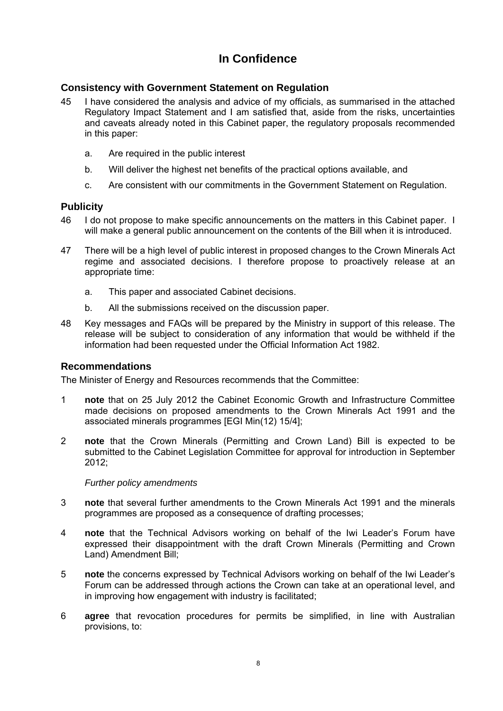## **Consistency with Government Statement on Regulation**

- 45 I have considered the analysis and advice of my officials, as summarised in the attached Regulatory Impact Statement and I am satisfied that, aside from the risks, uncertainties and caveats already noted in this Cabinet paper, the regulatory proposals recommended in this paper:
	- a. Are required in the public interest
	- b. Will deliver the highest net benefits of the practical options available, and
	- c. Are consistent with our commitments in the Government Statement on Regulation.

### **Publicity**

- 46 I do not propose to make specific announcements on the matters in this Cabinet paper. I will make a general public announcement on the contents of the Bill when it is introduced.
- 47 There will be a high level of public interest in proposed changes to the Crown Minerals Act regime and associated decisions. I therefore propose to proactively release at an appropriate time:
	- a. This paper and associated Cabinet decisions.
	- b. All the submissions received on the discussion paper.
- 48 Key messages and FAQs will be prepared by the Ministry in support of this release. The release will be subject to consideration of any information that would be withheld if the information had been requested under the Official Information Act 1982.

## **Recommendations**

The Minister of Energy and Resources recommends that the Committee:

- 1 **note** that on 25 July 2012 the Cabinet Economic Growth and Infrastructure Committee made decisions on proposed amendments to the Crown Minerals Act 1991 and the associated minerals programmes [EGI Min(12) 15/4];
- 2 **note** that the Crown Minerals (Permitting and Crown Land) Bill is expected to be submitted to the Cabinet Legislation Committee for approval for introduction in September 2012;

### *Further policy amendments*

- 3 **note** that several further amendments to the Crown Minerals Act 1991 and the minerals programmes are proposed as a consequence of drafting processes;
- 4 **note** that the Technical Advisors working on behalf of the Iwi Leader's Forum have expressed their disappointment with the draft Crown Minerals (Permitting and Crown Land) Amendment Bill;
- 5 **note** the concerns expressed by Technical Advisors working on behalf of the Iwi Leader's Forum can be addressed through actions the Crown can take at an operational level, and in improving how engagement with industry is facilitated;
- 6 **agree** that revocation procedures for permits be simplified, in line with Australian provisions, to: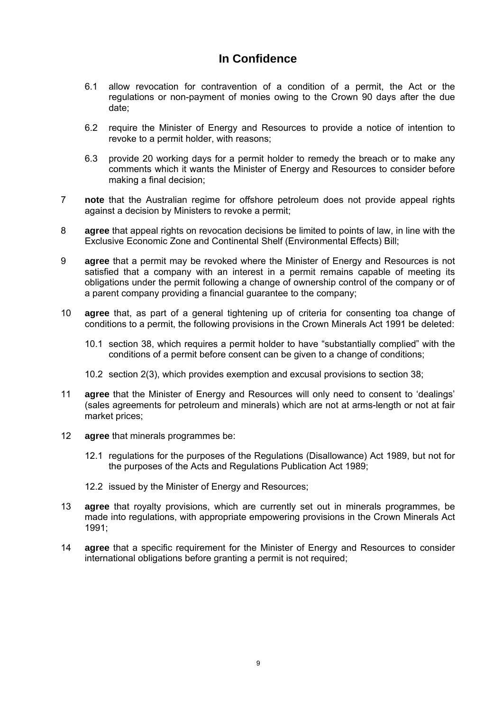- 6.1 allow revocation for contravention of a condition of a permit, the Act or the regulations or non-payment of monies owing to the Crown 90 days after the due date;
- 6.2 require the Minister of Energy and Resources to provide a notice of intention to revoke to a permit holder, with reasons;
- 6.3 provide 20 working days for a permit holder to remedy the breach or to make any comments which it wants the Minister of Energy and Resources to consider before making a final decision;
- 7 **note** that the Australian regime for offshore petroleum does not provide appeal rights against a decision by Ministers to revoke a permit;
- 8 **agree** that appeal rights on revocation decisions be limited to points of law, in line with the Exclusive Economic Zone and Continental Shelf (Environmental Effects) Bill;
- 9 **agree** that a permit may be revoked where the Minister of Energy and Resources is not satisfied that a company with an interest in a permit remains capable of meeting its obligations under the permit following a change of ownership control of the company or of a parent company providing a financial guarantee to the company;
- 10 **agree** that, as part of a general tightening up of criteria for consenting toa change of conditions to a permit, the following provisions in the Crown Minerals Act 1991 be deleted:
	- 10.1 section 38, which requires a permit holder to have "substantially complied" with the conditions of a permit before consent can be given to a change of conditions;
	- 10.2 section 2(3), which provides exemption and excusal provisions to section 38;
- 11 **agree** that the Minister of Energy and Resources will only need to consent to 'dealings' (sales agreements for petroleum and minerals) which are not at arms-length or not at fair market prices;
- 12 **agree** that minerals programmes be:
	- 12.1 regulations for the purposes of the Regulations (Disallowance) Act 1989, but not for the purposes of the Acts and Regulations Publication Act 1989;
	- 12.2 issued by the Minister of Energy and Resources;
- 13 **agree** that royalty provisions, which are currently set out in minerals programmes, be made into regulations, with appropriate empowering provisions in the Crown Minerals Act 1991;
- 14 **agree** that a specific requirement for the Minister of Energy and Resources to consider international obligations before granting a permit is not required;